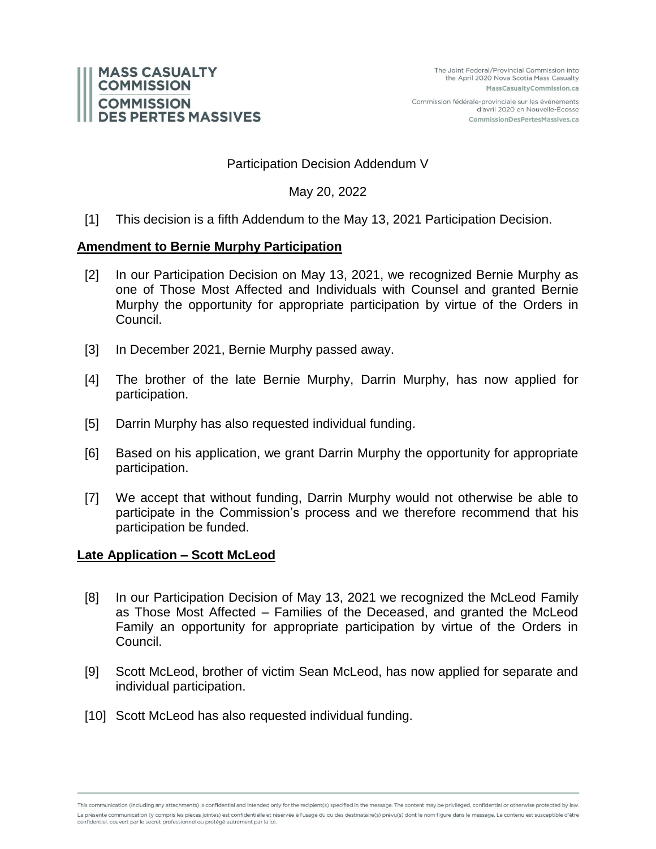

Commission fédérale-provinciale sur les événements d'avril 2020 en Nouvelle-Écosse CommissionDesPertesMassives.ca

## Participation Decision Addendum V

May 20, 2022

[1] This decision is a fifth Addendum to the May 13, 2021 Participation Decision.

## **Amendment to Bernie Murphy Participation**

- [2] In our Participation Decision on May 13, 2021, we recognized Bernie Murphy as one of Those Most Affected and Individuals with Counsel and granted Bernie Murphy the opportunity for appropriate participation by virtue of the Orders in Council.
- [3] In December 2021, Bernie Murphy passed away.
- [4] The brother of the late Bernie Murphy, Darrin Murphy, has now applied for participation.
- [5] Darrin Murphy has also requested individual funding.
- [6] Based on his application, we grant Darrin Murphy the opportunity for appropriate participation.
- [7] We accept that without funding, Darrin Murphy would not otherwise be able to participate in the Commission's process and we therefore recommend that his participation be funded.

## **Late Application – Scott McLeod**

- [8] In our Participation Decision of May 13, 2021 we recognized the McLeod Family as Those Most Affected – Families of the Deceased, and granted the McLeod Family an opportunity for appropriate participation by virtue of the Orders in Council.
- [9] Scott McLeod, brother of victim Sean McLeod, has now applied for separate and individual participation.
- [10] Scott McLeod has also requested individual funding.

This communication (including any attachments) is confidential and intended only for the recipient(s) specified in the message. The content may be privileged, confidential or otherwise protected by law. La présente communication (y compris les pièces jointes) est confidentielle et réservée à l'usage du ou des destinataire(s) prévu(s) dont le nom figure dans le message. Le contenu est susceptible d'être confidentiel, couvert par le secret professionnel ou protégé autrement par la loi.